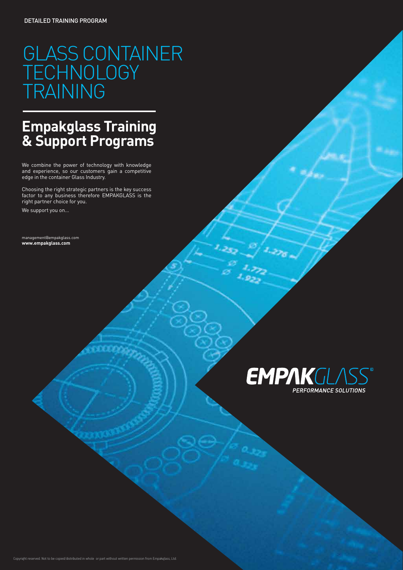# GLASS CONTAINER TECHNOLOGY TRAINING

### **Empakglass Training & Support Programs**

We combine the power of technology with knowledge and experience, so our customers gain a competitive edge in the container Glass Industry.

Choosing the right strategic partners is the key success factor to any business therefore EMPAKGLASS is the right partner choice for you.

We support you on...

management@empakglass.com **www.empakglass.com**

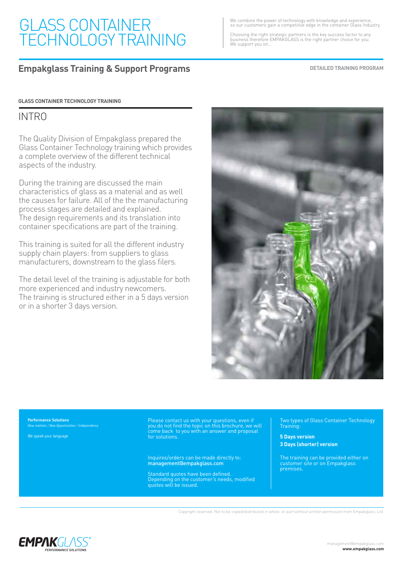## GLASS CONTAINER TECHNOLOGY TRAINING

**Empakglass Training & Support Programs**

We combine the power of technology with knowledge and experience, so our customers gain a competitive edge in the container Glass Industry.

Choosing the right strategic partners is the key success factor to any business therefore EMPAKGLASS is the right partner choice for you. We support you on...

**DETAILED TRAINING PROGRAM**

#### **GLASS CONTAINER TECHNOLOGY TRAINING**

#### INTRO

The Quality Division of Empakglass prepared the Glass Container Technology training which provides a complete overview of the different technical aspects of the industry.

During the training are discussed the main characteristics of glass as a material and as well the causes for failure. All of the the manufacturing process stages are detailed and explained. The design requirements and its translation into container specifications are part of the training.

This training is suited for all the different industry supply chain players: from suppliers to glass manufacturers, downstream to the glass filers.

The detail level of the training is adjustable for both more experienced and industry newcomers. The training is structured either in a 5 days version or in a shorter 3 days version.



**Performance Solutions** *New markets / New Opportunities / Independency*

#### *We speak your language*

Please contact us with your questions, even if you do not find the topic on this brochure, we will come back to you with an answer and proposal for solutions.

Inquires/orders can be made directly to: management@empakglass.com

Standard quotes have been defined. Depending on the customer's needs, modified quotes will be issued.

Two types of Glass Container Technology Training:

**5 Days version 3 Days (shorter) version**

The training can be provided either on customer site or on Empakglass premises.

Copyright reserved. Not to be copied/distributed in whole or part without written permission from Empakglass, Ltd.

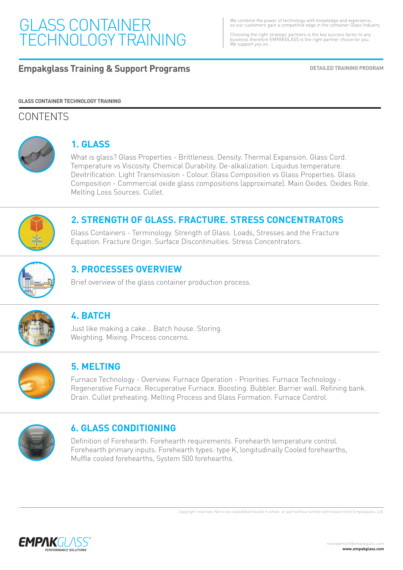# GLASS CONTAINER TECHNOLOGY TRAINING

We combine the power of technology with knowledge and experience, so our customers gain a competitive edge in the container Glass Industry.

Choosing the right strategic partners is the key success factor to any business therefore EMPAKGLASS is the right partner choice for you. We support you on...

#### **Empakglass Training & Support Programs DETAILED TRAINING PROGRAM**

#### **GLASS CONTAINER TECHNOLOGY TRAINING**

### **CONTENTS**



#### **1. GLASS**

What is glass? Glass Properties - Brittleness. Density. Thermal Expansion. Glass Cord. Temperature vs Viscosity. Chemical Durability. De-alkalization. Liquidus temperature. Devitrification. Light Transmission - Colour. Glass Composition vs Glass Properties. Glass Composition - Commercial oxide glass compositions (approximate). Main Oxides. Oxides Role. Melting Loss Sources. Cullet.



#### **2. STRENGTH OF GLASS. FRACTURE. STRESS CONCENTRATORS**

Glass Containers - Terminology. Strength of Glass. Loads, Stresses and the Fracture Equation. Fracture Origin. Surface Discontinuities. Stress Concentrators.



### **3. PROCESSES OVERVIEW**

Brief overview of the glass container production process.



#### **4. BATCH**

Just like making a cake... Batch house. Storing. Weighting. Mixing. Process concerns.



#### **5. MELTING**

Furnace Technology - Overview. Furnace Operation - Priorities. Furnace Technology - Regenerative Furnace. Recuperative Furnace. Boosting. Bubbler. Barrier wall. Refining bank. Drain. Cullet preheating. Melting Process and Glass Formation. Furnace Control.



#### **6. GLASS CONDITIONING**

Definition of Forehearth. Forehearth requirements. Forehearth temperature control. Forehearth primary inputs. Forehearth types: type K, longitudinally Cooled forehearths, Muffle cooled forehearths, System 500 forehearths.